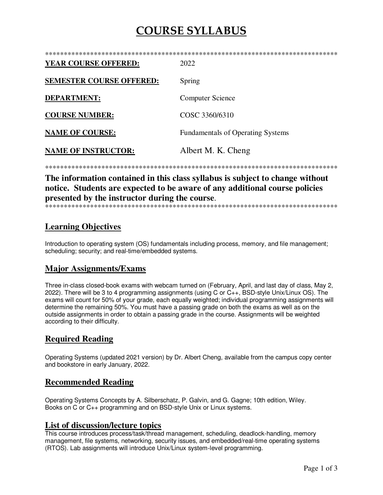# **COURSE SYLLABUS**

| <b>YEAR COURSE OFFERED:</b>     | 2022                                     |
|---------------------------------|------------------------------------------|
| <b>SEMESTER COURSE OFFERED:</b> | Spring                                   |
| <b>DEPARTMENT:</b>              | <b>Computer Science</b>                  |
| <b>COURSE NUMBER:</b>           | COSC 3360/6310                           |
| <b>NAME OF COURSE:</b>          | <b>Fundamentals of Operating Systems</b> |
| <b>NAME OF INSTRUCTOR:</b>      | Albert M. K. Cheng                       |

The information contained in this class syllabus is subject to change without notice. Students are expected to be aware of any additional course policies presented by the instructor during the course.

# **Learning Objectives**

Introduction to operating system (OS) fundamentals including process, memory, and file management; scheduling; security; and real-time/embedded systems.

## **Major Assignments/Exams**

Three in-class closed-book exams with webcam turned on (February, April, and last day of class, May 2, 2022). There will be 3 to 4 programming assignments (using C or C++, BSD-style Unix/Linux OS). The exams will count for 50% of your grade, each equally weighted; individual programming assignments will determine the remaining 50%. You must have a passing grade on both the exams as well as on the outside assignments in order to obtain a passing grade in the course. Assignments will be weighted according to their difficulty.

## **Required Reading**

Operating Systems (updated 2021 version) by Dr. Albert Cheng, available from the campus copy center and bookstore in early January, 2022.

## **Recommended Reading**

Operating Systems Concepts by A. Silberschatz, P. Galvin, and G. Gagne; 10th edition, Wiley. Books on C or C++ programming and on BSD-style Unix or Linux systems.

## **List of discussion/lecture topics**

This course introduces process/task/thread management, scheduling, deadlock-handling, memory management, file systems, networking, security issues, and embedded/real-time operating systems (RTOS). Lab assignments will introduce Unix/Linux system-level programming.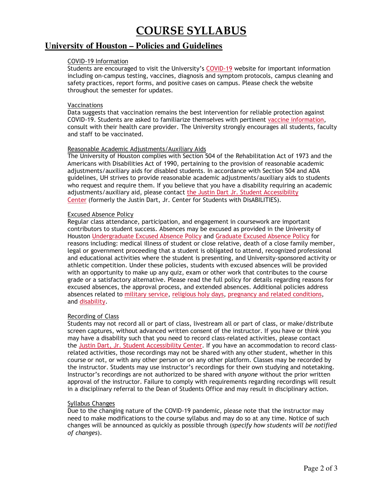# **COURSE SYLLABUS**

# **University of Houston – Policies and Guidelines**

## COVID-19 Information

Students are encouraged to visit the University's COVID-19 website for important information including on-campus testing, vaccines, diagnosis and symptom protocols, campus cleaning and safety practices, report forms, and positive cases on campus. Please check the website throughout the semester for updates.

### Vaccinations

Data suggests that vaccination remains the best intervention for reliable protection against COVID-19. Students are asked to familiarize themselves with pertinent vaccine information, consult with their health care provider. The University strongly encourages all students, faculty and staff to be vaccinated.

## Reasonable Academic Adjustments/Auxiliary Aids

The University of Houston complies with Section 504 of the Rehabilitation Act of 1973 and the Americans with Disabilities Act of 1990, pertaining to the provision of reasonable academic adjustments/auxiliary aids for disabled students. In accordance with Section 504 and ADA guidelines, UH strives to provide reasonable academic adjustments/auxiliary aids to students who request and require them. If you believe that you have a disability requiring an academic adjustments/auxiliary aid, please contact the Justin Dart Jr. Student Accessibility Center (formerly the Justin Dart, Jr. Center for Students with DisABILITIES).

## Excused Absence Policy

Regular class attendance, participation, and engagement in coursework are important contributors to student success. Absences may be excused as provided in the University of Houston Undergraduate Excused Absence Policy and Graduate Excused Absence Policy for reasons including: medical illness of student or close relative, death of a close family member, legal or government proceeding that a student is obligated to attend, recognized professional and educational activities where the student is presenting, and University-sponsored activity or athletic competition. Under these policies, students with excused absences will be provided with an opportunity to make up any quiz, exam or other work that contributes to the course grade or a satisfactory alternative. Please read the full policy for details regarding reasons for excused absences, the approval process, and extended absences. Additional policies address absences related to military service, religious holy days, pregnancy and related conditions, and disability.

### Recording of Class

Students may not record all or part of class, livestream all or part of class, or make/distribute screen captures, without advanced written consent of the instructor. If you have or think you may have a disability such that you need to record class-related activities, please contact the Justin Dart, Jr. Student Accessibility Center. If you have an accommodation to record classrelated activities, those recordings may not be shared with any other student, whether in this course or not, or with any other person or on any other platform. Classes may be recorded by the instructor. Students may use instructor's recordings for their own studying and notetaking. Instructor's recordings are not authorized to be shared with *anyone* without the prior written approval of the instructor. Failure to comply with requirements regarding recordings will result in a disciplinary referral to the Dean of Students Office and may result in disciplinary action.

### Syllabus Changes

Due to the changing nature of the COVID-19 pandemic, please note that the instructor may need to make modifications to the course syllabus and may do so at any time. Notice of such changes will be announced as quickly as possible through (*specify how students will be notified of changes*).